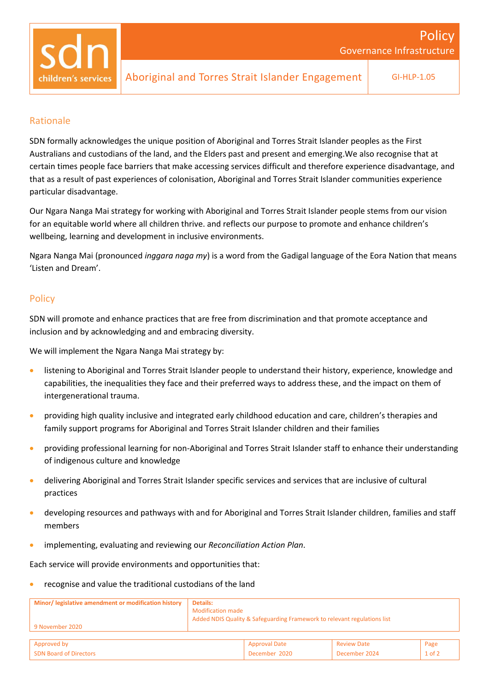### Rationale

SDN formally acknowledges the unique position of Aboriginal and Torres Strait Islander peoples as the First Australians and custodians of the land, and the Elders past and present and emerging.We also recognise that at certain times people face barriers that make accessing services difficult and therefore experience disadvantage, and that as a result of past experiences of colonisation, Aboriginal and Torres Strait Islander communities experience particular disadvantage.

Our Ngara Nanga Mai strategy for working with Aboriginal and Torres Strait Islander people stems from our vision for an equitable world where all children thrive. and reflects our purpose to promote and enhance children's wellbeing, learning and development in inclusive environments.

Ngara Nanga Mai (pronounced *inggara naga my*) is a word from the Gadigal language of the Eora Nation that means 'Listen and Dream'.

## **Policy**

SDN will promote and enhance practices that are free from discrimination and that promote acceptance and inclusion and by acknowledging and and embracing diversity.

We will implement the Ngara Nanga Mai strategy by:

- listening to Aboriginal and Torres Strait Islander people to understand their history, experience, knowledge and capabilities, the inequalities they face and their preferred ways to address these, and the impact on them of intergenerational trauma.
- providing high quality inclusive and integrated early childhood education and care, children's therapies and family support programs for Aboriginal and Torres Strait Islander children and their families
- providing professional learning for non-Aboriginal and Torres Strait Islander staff to enhance their understanding of indigenous culture and knowledge
- delivering Aboriginal and Torres Strait Islander specific services and services that are inclusive of cultural practices
- developing resources and pathways with and for Aboriginal and Torres Strait Islander children, families and staff members
- implementing, evaluating and reviewing our *Reconciliation Action Plan*.

Each service will provide environments and opportunities that:

• recognise and value the traditional custodians of the land

| Minor/ legislative amendment or modification history<br>9 November 2020 | Details:<br><b>Modification made</b><br>Added NDIS Quality & Safeguarding Framework to relevant regulations list |                      |                    |            |
|-------------------------------------------------------------------------|------------------------------------------------------------------------------------------------------------------|----------------------|--------------------|------------|
|                                                                         |                                                                                                                  |                      |                    |            |
| Approved by                                                             |                                                                                                                  | <b>Approval Date</b> | <b>Review Date</b> | Page       |
| <b>SDN Board of Directors</b>                                           |                                                                                                                  | December 2020        | December 2024      | $1$ of $2$ |